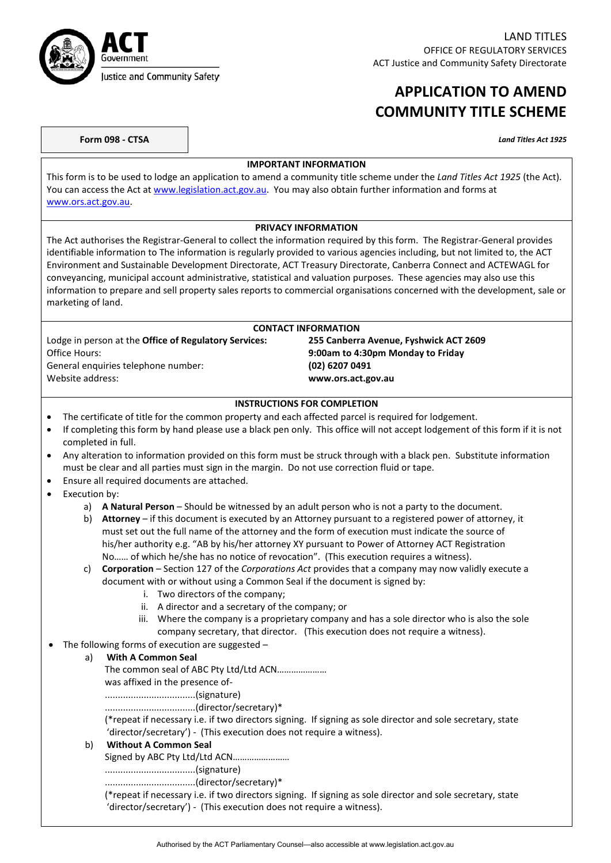

## **APPLICATION TO AMEND COMMUNITY TITLE SCHEME**

| Form 098 - CTSA | <b>Land Titles Act 1925</b> |
|-----------------|-----------------------------|
|-----------------|-----------------------------|

#### **IMPORTANT INFORMATION**

This form is to be used to lodge an application to amend a community title scheme under the *Land Titles Act 1925* (the Act). You can access the Act at [www.legislation.act.gov.au.](http://www.legislation.act.gov.au/) You may also obtain further information and forms at [www.ors.act.gov.au.](http://www.ors.act.gov.au/)

#### **PRIVACY INFORMATION**

The Act authorises the Registrar-General to collect the information required by this form. The Registrar-General provides identifiable information to The information is regularly provided to various agencies including, but not limited to, the ACT Environment and Sustainable Development Directorate, ACT Treasury Directorate, Canberra Connect and ACTEWAGL for conveyancing, municipal account administrative, statistical and valuation purposes. These agencies may also use this information to prepare and sell property sales reports to commercial organisations concerned with the development, sale or marketing of land.

### **CONTACT INFORMATION** Lodge in person at the **Office of Regulatory Services: 255 Canberra Avenue, Fyshwick ACT 2609** Office Hours: **9:00am to 4:30pm Monday to Friday** General enquiries telephone number: **(02) 6207 0491**<br>Website address: **www.ors.act.go** Website address: **www.ors.act.gov.au**

#### **INSTRUCTIONS FOR COMPLETION**

- The certificate of title for the common property and each affected parcel is required for lodgement.
- If completing this form by hand please use a black pen only. This office will not accept lodgement of this form if it is not completed in full.
- Any alteration to information provided on this form must be struck through with a black pen. Substitute information must be clear and all parties must sign in the margin. Do not use correction fluid or tape.
- Ensure all required documents are attached.
- Execution by:
	- a) **A Natural Person** Should be witnessed by an adult person who is not a party to the document.
	- b) **Attorney** if this document is executed by an Attorney pursuant to a registered power of attorney, it must set out the full name of the attorney and the form of execution must indicate the source of his/her authority e.g. "AB by his/her attorney XY pursuant to Power of Attorney ACT Registration No…… of which he/she has no notice of revocation". (This execution requires a witness).
	- c) **Corporation** Section 127 of the *Corporations Act* provides that a company may now validly execute a document with or without using a Common Seal if the document is signed by:
		- i. Two directors of the company;
		- ii. A director and a secretary of the company; or
		- iii. Where the company is a proprietary company and has a sole director who is also the sole company secretary, that director. (This execution does not require a witness).
	- The following forms of execution are suggested  $-$

### a) **With A Common Seal**

The common seal of ABC Pty Ltd/Ltd ACN…………………

was affixed in the presence of-

...................................(signature)

...................................(director/secretary)\*

(\*repeat if necessary i.e. if two directors signing. If signing as sole director and sole secretary, state 'director/secretary') - (This execution does not require a witness).

### b) **Without A Common Seal**

Signed by ABC Pty Ltd/Ltd ACN……………………

...................................(signature)

...................................(director/secretary)\*

(\*repeat if necessary i.e. if two directors signing. If signing as sole director and sole secretary, state 'director/secretary') - (This execution does not require a witness).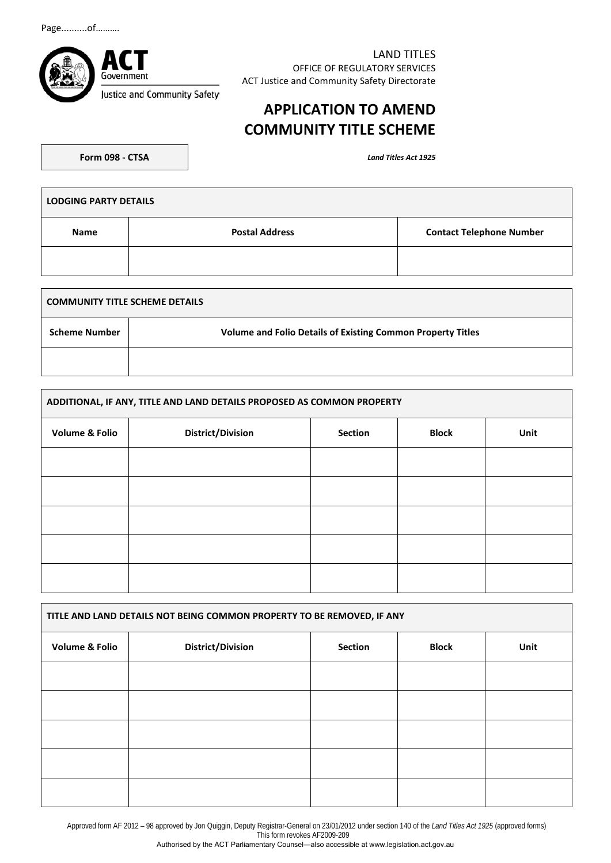Page..........of……….



LAND TITLES OFFICE OF REGULATORY SERVICES ACT Justice and Community Safety Directorate

# **APPLICATION TO AMEND COMMUNITY TITLE SCHEME**

**Form 098 - CTSA** *Land Titles Act 1925* 

| <b>LODGING PARTY DETAILS</b> |                       |                                 |  |  |
|------------------------------|-----------------------|---------------------------------|--|--|
| Name                         | <b>Postal Address</b> | <b>Contact Telephone Number</b> |  |  |
|                              |                       |                                 |  |  |

| <b>COMMUNITY TITLE SCHEME DETAILS</b> |                                                                    |  |  |
|---------------------------------------|--------------------------------------------------------------------|--|--|
| <b>Scheme Number</b>                  | <b>Volume and Folio Details of Existing Common Property Titles</b> |  |  |
|                                       |                                                                    |  |  |

| ADDITIONAL, IF ANY, TITLE AND LAND DETAILS PROPOSED AS COMMON PROPERTY |                          |                |              |      |
|------------------------------------------------------------------------|--------------------------|----------------|--------------|------|
| <b>Volume &amp; Folio</b>                                              | <b>District/Division</b> | <b>Section</b> | <b>Block</b> | Unit |
|                                                                        |                          |                |              |      |
|                                                                        |                          |                |              |      |
|                                                                        |                          |                |              |      |
|                                                                        |                          |                |              |      |
|                                                                        |                          |                |              |      |

| TITLE AND LAND DETAILS NOT BEING COMMON PROPERTY TO BE REMOVED, IF ANY |                          |                |              |      |
|------------------------------------------------------------------------|--------------------------|----------------|--------------|------|
| <b>Volume &amp; Folio</b>                                              | <b>District/Division</b> | <b>Section</b> | <b>Block</b> | Unit |
|                                                                        |                          |                |              |      |
|                                                                        |                          |                |              |      |
|                                                                        |                          |                |              |      |
|                                                                        |                          |                |              |      |
|                                                                        |                          |                |              |      |

Approved form AF 2012 – 98 approved by Jon Quiggin, Deputy Registrar-General on 23/01/2012 under section 140 of the *Land Titles Act 1925* (approved forms) This form revokes AF2009-209